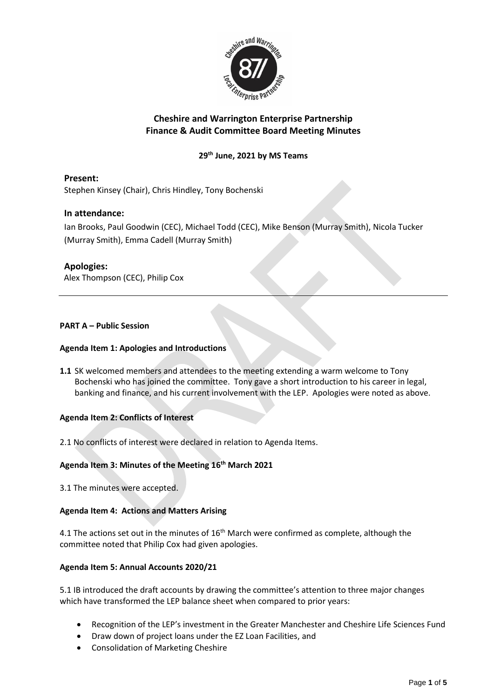

# **Cheshire and Warrington Enterprise Partnership Finance & Audit Committee Board Meeting Minutes**

# **29th June, 2021 by MS Teams**

**Present:** Stephen Kinsey (Chair), Chris Hindley, Tony Bochenski

# **In attendance:**

Ian Brooks, Paul Goodwin (CEC), Michael Todd (CEC), Mike Benson (Murray Smith), Nicola Tucker (Murray Smith), Emma Cadell (Murray Smith)

## **Apologies:**

Alex Thompson (CEC), Philip Cox

## **PART A – Public Session**

## **Agenda Item 1: Apologies and Introductions**

**1.1** SK welcomed members and attendees to the meeting extending a warm welcome to Tony Bochenski who has joined the committee. Tony gave a short introduction to his career in legal, banking and finance, and his current involvement with the LEP. Apologies were noted as above.

#### **Agenda Item 2: Conflicts of Interest**

2.1 No conflicts of interest were declared in relation to Agenda Items.

# **Agenda Item 3: Minutes of the Meeting 16 th March 2021**

3.1 The minutes were accepted.

#### **Agenda Item 4: Actions and Matters Arising**

4.1 The actions set out in the minutes of  $16<sup>th</sup>$  March were confirmed as complete, although the committee noted that Philip Cox had given apologies.

#### **Agenda Item 5: Annual Accounts 2020/21**

5.1 IB introduced the draft accounts by drawing the committee's attention to three major changes which have transformed the LEP balance sheet when compared to prior years:

- Recognition of the LEP's investment in the Greater Manchester and Cheshire Life Sciences Fund
- Draw down of project loans under the EZ Loan Facilities, and
- Consolidation of Marketing Cheshire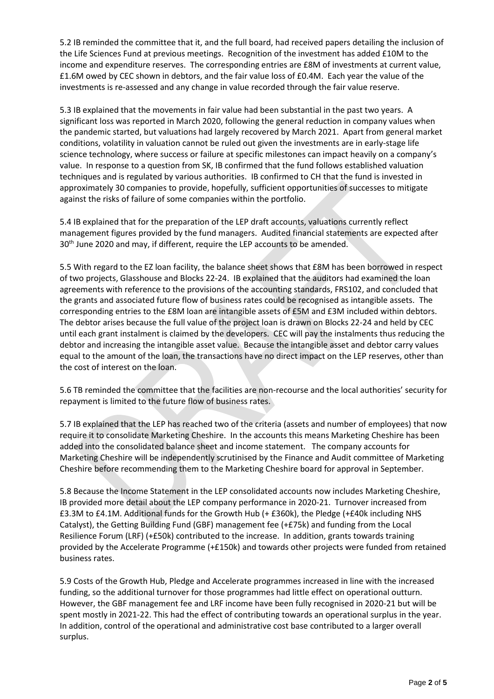5.2 IB reminded the committee that it, and the full board, had received papers detailing the inclusion of the Life Sciences Fund at previous meetings. Recognition of the investment has added £10M to the income and expenditure reserves. The corresponding entries are £8M of investments at current value, £1.6M owed by CEC shown in debtors, and the fair value loss of £0.4M. Each year the value of the investments is re-assessed and any change in value recorded through the fair value reserve.

5.3 IB explained that the movements in fair value had been substantial in the past two years. A significant loss was reported in March 2020, following the general reduction in company values when the pandemic started, but valuations had largely recovered by March 2021. Apart from general market conditions, volatility in valuation cannot be ruled out given the investments are in early-stage life science technology, where success or failure at specific milestones can impact heavily on a company's value. In response to a question from SK, IB confirmed that the fund follows established valuation techniques and is regulated by various authorities. IB confirmed to CH that the fund is invested in approximately 30 companies to provide, hopefully, sufficient opportunities of successes to mitigate against the risks of failure of some companies within the portfolio.

5.4 IB explained that for the preparation of the LEP draft accounts, valuations currently reflect management figures provided by the fund managers. Audited financial statements are expected after 30<sup>th</sup> June 2020 and may, if different, require the LEP accounts to be amended.

5.5 With regard to the EZ loan facility, the balance sheet shows that £8M has been borrowed in respect of two projects, Glasshouse and Blocks 22-24. IB explained that the auditors had examined the loan agreements with reference to the provisions of the accounting standards, FRS102, and concluded that the grants and associated future flow of business rates could be recognised as intangible assets. The corresponding entries to the £8M loan are intangible assets of £5M and £3M included within debtors. The debtor arises because the full value of the project loan is drawn on Blocks 22-24 and held by CEC until each grant instalment is claimed by the developers. CEC will pay the instalments thus reducing the debtor and increasing the intangible asset value. Because the intangible asset and debtor carry values equal to the amount of the loan, the transactions have no direct impact on the LEP reserves, other than the cost of interest on the loan.

5.6 TB reminded the committee that the facilities are non-recourse and the local authorities' security for repayment is limited to the future flow of business rates.

5.7 IB explained that the LEP has reached two of the criteria (assets and number of employees) that now require it to consolidate Marketing Cheshire. In the accounts this means Marketing Cheshire has been added into the consolidated balance sheet and income statement. The company accounts for Marketing Cheshire will be independently scrutinised by the Finance and Audit committee of Marketing Cheshire before recommending them to the Marketing Cheshire board for approval in September.

5.8 Because the Income Statement in the LEP consolidated accounts now includes Marketing Cheshire, IB provided more detail about the LEP company performance in 2020-21. Turnover increased from £3.3M to £4.1M. Additional funds for the Growth Hub (+ £360k), the Pledge (+£40k including NHS Catalyst), the Getting Building Fund (GBF) management fee (+£75k) and funding from the Local Resilience Forum (LRF) (+£50k) contributed to the increase. In addition, grants towards training provided by the Accelerate Programme (+£150k) and towards other projects were funded from retained business rates.

5.9 Costs of the Growth Hub, Pledge and Accelerate programmes increased in line with the increased funding, so the additional turnover for those programmes had little effect on operational outturn. However, the GBF management fee and LRF income have been fully recognised in 2020-21 but will be spent mostly in 2021-22. This had the effect of contributing towards an operational surplus in the year. In addition, control of the operational and administrative cost base contributed to a larger overall surplus.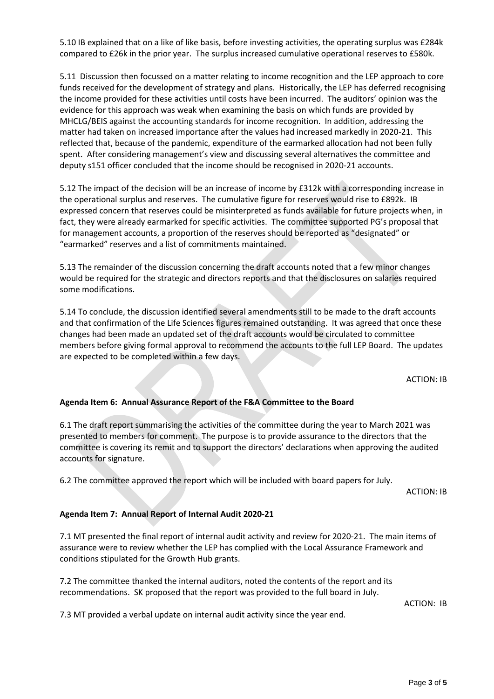5.10 IB explained that on a like of like basis, before investing activities, the operating surplus was £284k compared to £26k in the prior year. The surplus increased cumulative operational reserves to £580k.

5.11 Discussion then focussed on a matter relating to income recognition and the LEP approach to core funds received for the development of strategy and plans. Historically, the LEP has deferred recognising the income provided for these activities until costs have been incurred. The auditors' opinion was the evidence for this approach was weak when examining the basis on which funds are provided by MHCLG/BEIS against the accounting standards for income recognition. In addition, addressing the matter had taken on increased importance after the values had increased markedly in 2020-21. This reflected that, because of the pandemic, expenditure of the earmarked allocation had not been fully spent. After considering management's view and discussing several alternatives the committee and deputy s151 officer concluded that the income should be recognised in 2020-21 accounts.

5.12 The impact of the decision will be an increase of income by £312k with a corresponding increase in the operational surplus and reserves. The cumulative figure for reserves would rise to £892k. IB expressed concern that reserves could be misinterpreted as funds available for future projects when, in fact, they were already earmarked for specific activities. The committee supported PG's proposal that for management accounts, a proportion of the reserves should be reported as "designated" or "earmarked" reserves and a list of commitments maintained.

5.13 The remainder of the discussion concerning the draft accounts noted that a few minor changes would be required for the strategic and directors reports and that the disclosures on salaries required some modifications.

5.14 To conclude, the discussion identified several amendments still to be made to the draft accounts and that confirmation of the Life Sciences figures remained outstanding. It was agreed that once these changes had been made an updated set of the draft accounts would be circulated to committee members before giving formal approval to recommend the accounts to the full LEP Board. The updates are expected to be completed within a few days.

ACTION: IB

#### **Agenda Item 6: Annual Assurance Report of the F&A Committee to the Board**

6.1 The draft report summarising the activities of the committee during the year to March 2021 was presented to members for comment. The purpose is to provide assurance to the directors that the committee is covering its remit and to support the directors' declarations when approving the audited accounts for signature.

6.2 The committee approved the report which will be included with board papers for July.

ACTION: IB

#### **Agenda Item 7: Annual Report of Internal Audit 2020-21**

7.1 MT presented the final report of internal audit activity and review for 2020-21. The main items of assurance were to review whether the LEP has complied with the Local Assurance Framework and conditions stipulated for the Growth Hub grants.

7.2 The committee thanked the internal auditors, noted the contents of the report and its recommendations. SK proposed that the report was provided to the full board in July.

ACTION: IB

7.3 MT provided a verbal update on internal audit activity since the year end.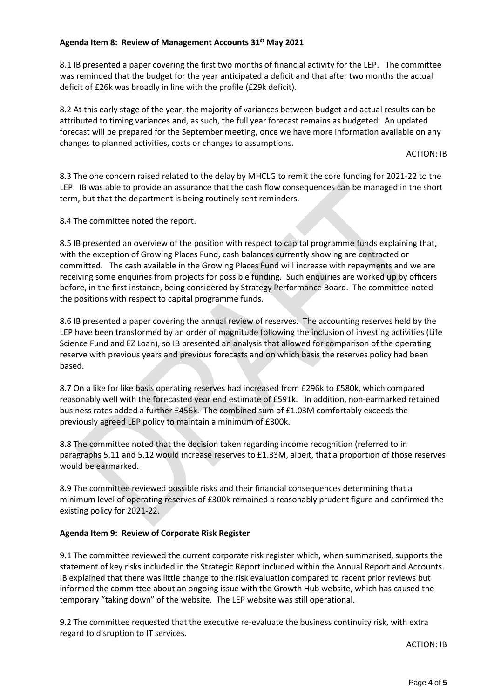## **Agenda Item 8: Review of Management Accounts 31st May 2021**

8.1 IB presented a paper covering the first two months of financial activity for the LEP. The committee was reminded that the budget for the year anticipated a deficit and that after two months the actual deficit of £26k was broadly in line with the profile (£29k deficit).

8.2 At this early stage of the year, the majority of variances between budget and actual results can be attributed to timing variances and, as such, the full year forecast remains as budgeted. An updated forecast will be prepared for the September meeting, once we have more information available on any changes to planned activities, costs or changes to assumptions.

ACTION: IB

8.3 The one concern raised related to the delay by MHCLG to remit the core funding for 2021-22 to the LEP. IB was able to provide an assurance that the cash flow consequences can be managed in the short term, but that the department is being routinely sent reminders.

8.4 The committee noted the report.

8.5 IB presented an overview of the position with respect to capital programme funds explaining that, with the exception of Growing Places Fund, cash balances currently showing are contracted or committed. The cash available in the Growing Places Fund will increase with repayments and we are receiving some enquiries from projects for possible funding. Such enquiries are worked up by officers before, in the first instance, being considered by Strategy Performance Board. The committee noted the positions with respect to capital programme funds.

8.6 IB presented a paper covering the annual review of reserves. The accounting reserves held by the LEP have been transformed by an order of magnitude following the inclusion of investing activities (Life Science Fund and EZ Loan), so IB presented an analysis that allowed for comparison of the operating reserve with previous years and previous forecasts and on which basis the reserves policy had been based.

8.7 On a like for like basis operating reserves had increased from £296k to £580k, which compared reasonably well with the forecasted year end estimate of £591k. In addition, non-earmarked retained business rates added a further £456k. The combined sum of £1.03M comfortably exceeds the previously agreed LEP policy to maintain a minimum of £300k.

8.8 The committee noted that the decision taken regarding income recognition (referred to in paragraphs 5.11 and 5.12 would increase reserves to £1.33M, albeit, that a proportion of those reserves would be earmarked.

8.9 The committee reviewed possible risks and their financial consequences determining that a minimum level of operating reserves of £300k remained a reasonably prudent figure and confirmed the existing policy for 2021-22.

# **Agenda Item 9: Review of Corporate Risk Register**

9.1 The committee reviewed the current corporate risk register which, when summarised, supports the statement of key risks included in the Strategic Report included within the Annual Report and Accounts. IB explained that there was little change to the risk evaluation compared to recent prior reviews but informed the committee about an ongoing issue with the Growth Hub website, which has caused the temporary "taking down" of the website. The LEP website was still operational.

9.2 The committee requested that the executive re-evaluate the business continuity risk, with extra regard to disruption to IT services.

ACTION: IB